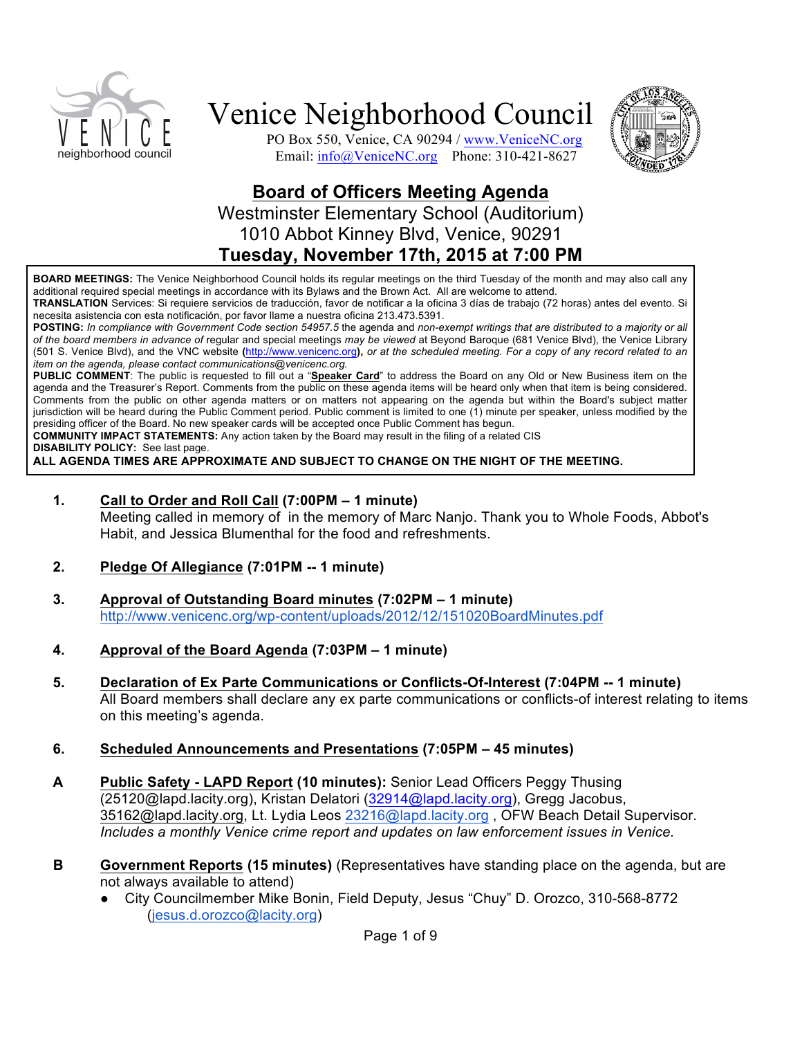





### **Board of Officers Meeting Agenda** Westminster Elementary School (Auditorium) 1010 Abbot Kinney Blvd, Venice, 90291 **Tuesday, November 17th, 2015 at 7:00 PM**

**BOARD MEETINGS:** The Venice Neighborhood Council holds its regular meetings on the third Tuesday of the month and may also call any additional required special meetings in accordance with its Bylaws and the Brown Act. All are welcome to attend.

**TRANSLATION** Services: Si requiere servicios de traducción, favor de notificar a la oficina 3 días de trabajo (72 horas) antes del evento. Si necesita asistencia con esta notificación, por favor llame a nuestra oficina 213.473.5391.

**POSTING:** *In compliance with Government Code section 54957.5* the agenda and *non-exempt writings that are distributed to a majority or all of the board members in advance of* regular and special meetings *may be viewed* at Beyond Baroque (681 Venice Blvd), the Venice Library (501 S. Venice Blvd), and the VNC website **(**http://www.venicenc.org**),** *or at the scheduled meeting. For a copy of any record related to an item on the agenda, please contact communications@venicenc.org.*

**PUBLIC COMMENT**: The public is requested to fill out a "**Speaker Card**" to address the Board on any Old or New Business item on the agenda and the Treasurer's Report. Comments from the public on these agenda items will be heard only when that item is being considered. Comments from the public on other agenda matters or on matters not appearing on the agenda but within the Board's subject matter jurisdiction will be heard during the Public Comment period. Public comment is limited to one (1) minute per speaker, unless modified by the presiding officer of the Board. No new speaker cards will be accepted once Public Comment has begun.

**COMMUNITY IMPACT STATEMENTS:** Any action taken by the Board may result in the filing of a related CIS

**DISABILITY POLICY:** See last page.

**ALL AGENDA TIMES ARE APPROXIMATE AND SUBJECT TO CHANGE ON THE NIGHT OF THE MEETING.**

#### **1. Call to Order and Roll Call (7:00PM – 1 minute)**

Meeting called in memory of in the memory of Marc Nanjo. Thank you to Whole Foods, Abbot's Habit, and Jessica Blumenthal for the food and refreshments.

- **2. Pledge Of Allegiance (7:01PM -- 1 minute)**
- **3. Approval of Outstanding Board minutes (7:02PM – 1 minute)** http://www.venicenc.org/wp-content/uploads/2012/12/151020BoardMinutes.pdf
- **4. Approval of the Board Agenda (7:03PM – 1 minute)**
- **5. Declaration of Ex Parte Communications or Conflicts-Of-Interest (7:04PM -- 1 minute)**  All Board members shall declare any ex parte communications or conflicts-of interest relating to items on this meeting's agenda.
- **6. Scheduled Announcements and Presentations (7:05PM – 45 minutes)**
- **A Public Safety - LAPD Report (10 minutes):** Senior Lead Officers Peggy Thusing (25120@lapd.lacity.org), Kristan Delatori (32914@lapd.lacity.org), Gregg Jacobus, 35162@lapd.lacity.org, Lt. Lydia Leos 23216@lapd.lacity.org, OFW Beach Detail Supervisor. *Includes a monthly Venice crime report and updates on law enforcement issues in Venice.*
- **B Government Reports (15 minutes)** (Representatives have standing place on the agenda, but are not always available to attend)
	- City Councilmember Mike Bonin, Field Deputy, Jesus "Chuy" D. Orozco, 310-568-8772 (jesus.d.orozco@lacity.org)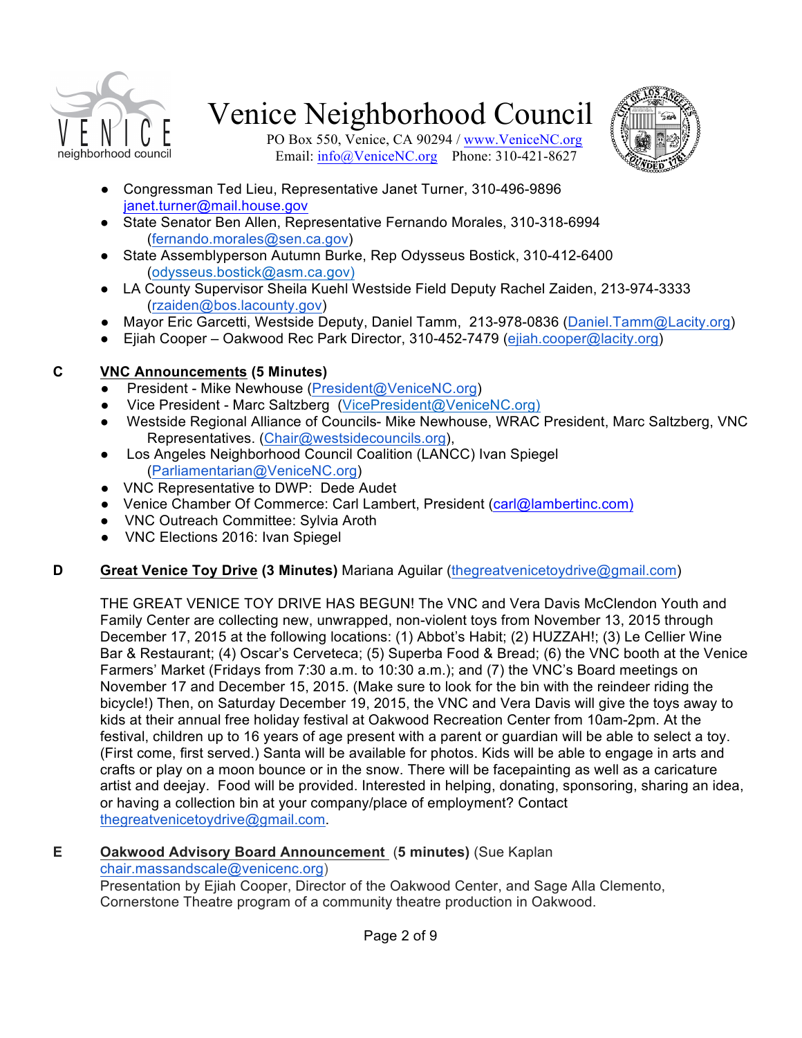



PO Box 550, Venice, CA 90294 / www.VeniceNC.org Email: info@VeniceNC.org Phone: 310-421-8627

- Congressman Ted Lieu, Representative Janet Turner, 310-496-9896 janet.turner@mail.house.gov
- State Senator Ben Allen, Representative Fernando Morales, 310-318-6994 (fernando.morales@sen.ca.gov)
- State Assemblyperson Autumn Burke, Rep Odysseus Bostick, 310-412-6400 (odysseus.bostick@asm.ca.gov)
- LA County Supervisor Sheila Kuehl Westside Field Deputy Rachel Zaiden, 213-974-3333 (rzaiden@bos.lacounty.gov)
- Mayor Eric Garcetti, Westside Deputy, Daniel Tamm, 213-978-0836 (Daniel.Tamm@Lacity.org)
- Ejiah Cooper Oakwood Rec Park Director, 310-452-7479 (ejiah.cooper@lacity.org)

### **C VNC Announcements (5 Minutes)**

- President Mike Newhouse (President@VeniceNC.org)
- Vice President Marc Saltzberg (VicePresident@VeniceNC.org)
- Westside Regional Alliance of Councils- Mike Newhouse, WRAC President, Marc Saltzberg, VNC Representatives. (Chair@westsidecouncils.org),
- Los Angeles Neighborhood Council Coalition (LANCC) Ivan Spiegel (Parliamentarian@VeniceNC.org)
- VNC Representative to DWP: Dede Audet
- Venice Chamber Of Commerce: Carl Lambert, President (carl@lambertinc.com)
- VNC Outreach Committee: Sylvia Aroth
- VNC Elections 2016: Ivan Spiegel

### **D Great Venice Toy Drive (3 Minutes)** Mariana Aguilar (thegreatvenicetoydrive@gmail.com)

THE GREAT VENICE TOY DRIVE HAS BEGUN! The VNC and Vera Davis McClendon Youth and Family Center are collecting new, unwrapped, non-violent toys from November 13, 2015 through December 17, 2015 at the following locations: (1) Abbot's Habit; (2) HUZZAH!; (3) Le Cellier Wine Bar & Restaurant; (4) Oscar's Cerveteca; (5) Superba Food & Bread; (6) the VNC booth at the Venice Farmers' Market (Fridays from 7:30 a.m. to 10:30 a.m.); and (7) the VNC's Board meetings on November 17 and December 15, 2015. (Make sure to look for the bin with the reindeer riding the bicycle!) Then, on Saturday December 19, 2015, the VNC and Vera Davis will give the toys away to kids at their annual free holiday festival at Oakwood Recreation Center from 10am-2pm. At the festival, children up to 16 years of age present with a parent or guardian will be able to select a toy. (First come, first served.) Santa will be available for photos. Kids will be able to engage in arts and crafts or play on a moon bounce or in the snow. There will be facepainting as well as a caricature artist and deejay. Food will be provided. Interested in helping, donating, sponsoring, sharing an idea, or having a collection bin at your company/place of employment? Contact thegreatvenicetoydrive@gmail.com.

**E Oakwood Advisory Board Announcement** (**5 minutes)** (Sue Kaplan chair.massandscale@venicenc.org)

Presentation by Ejiah Cooper, Director of the Oakwood Center, and Sage Alla Clemento, Cornerstone Theatre program of a community theatre production in Oakwood.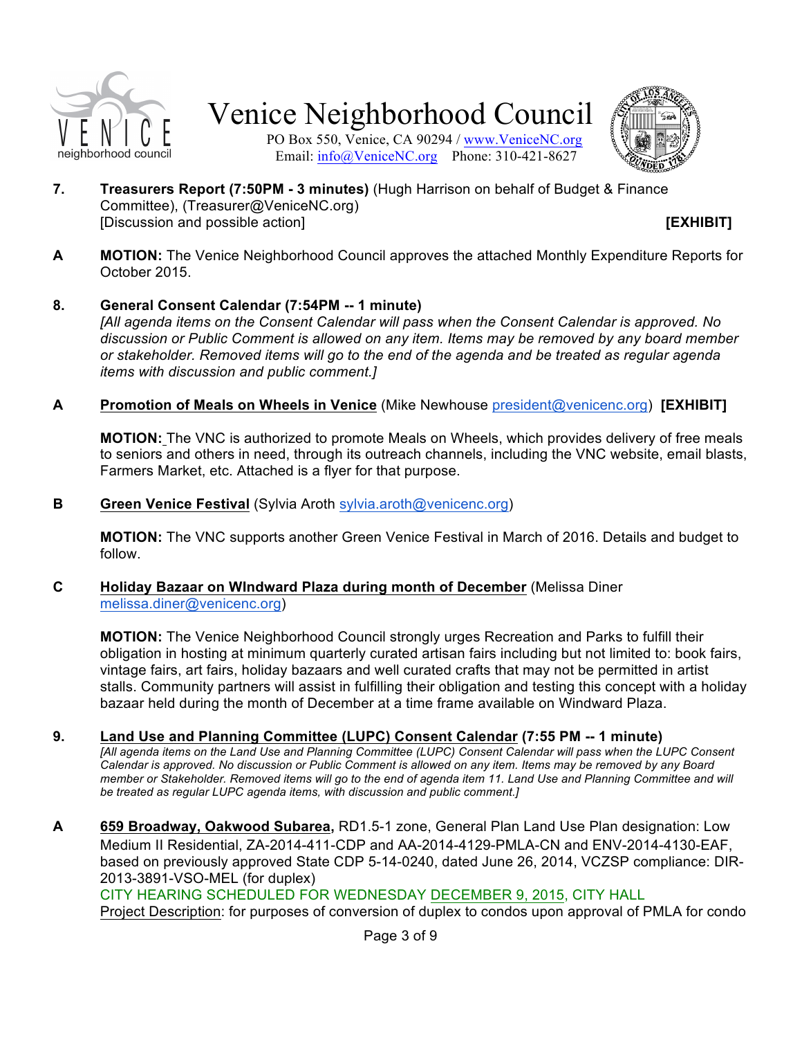

PO Box 550, Venice, CA 90294 / www.VeniceNC.org Email: info@VeniceNC.org Phone: 310-421-8627



**7. Treasurers Report (7:50PM - 3 minutes)** (Hugh Harrison on behalf of Budget & Finance Committee), (Treasurer@VeniceNC.org) [Discussion and possible action] **[EXHIBIT]**

**A MOTION:** The Venice Neighborhood Council approves the attached Monthly Expenditure Reports for October 2015.

#### **8. General Consent Calendar (7:54PM -- 1 minute)**

*[All agenda items on the Consent Calendar will pass when the Consent Calendar is approved. No discussion or Public Comment is allowed on any item. Items may be removed by any board member or stakeholder. Removed items will go to the end of the agenda and be treated as regular agenda items with discussion and public comment.]*

**A Promotion of Meals on Wheels in Venice** (Mike Newhouse president@venicenc.org) **[EXHIBIT]**

**MOTION:** The VNC is authorized to promote Meals on Wheels, which provides delivery of free meals to seniors and others in need, through its outreach channels, including the VNC website, email blasts, Farmers Market, etc. Attached is a flyer for that purpose.

**B Green Venice Festival** (Sylvia Aroth sylvia.aroth@venicenc.org)

**MOTION:** The VNC supports another Green Venice Festival in March of 2016. Details and budget to follow.

**C Holiday Bazaar on WIndward Plaza during month of December** (Melissa Diner melissa.diner@venicenc.org)

**MOTION:** The Venice Neighborhood Council strongly urges Recreation and Parks to fulfill their obligation in hosting at minimum quarterly curated artisan fairs including but not limited to: book fairs, vintage fairs, art fairs, holiday bazaars and well curated crafts that may not be permitted in artist stalls. Community partners will assist in fulfilling their obligation and testing this concept with a holiday bazaar held during the month of December at a time frame available on Windward Plaza.

**9. Land Use and Planning Committee (LUPC) Consent Calendar (7:55 PM -- 1 minute)**

*[All agenda items on the Land Use and Planning Committee (LUPC) Consent Calendar will pass when the LUPC Consent Calendar is approved. No discussion or Public Comment is allowed on any item. Items may be removed by any Board member or Stakeholder. Removed items will go to the end of agenda item 11. Land Use and Planning Committee and will be treated as regular LUPC agenda items, with discussion and public comment.]*

**A 659 Broadway, Oakwood Subarea,** RD1.5-1 zone, General Plan Land Use Plan designation: Low Medium II Residential, ZA-2014-411-CDP and AA-2014-4129-PMLA-CN and ENV-2014-4130-EAF, based on previously approved State CDP 5-14-0240, dated June 26, 2014, VCZSP compliance: DIR-2013-3891-VSO-MEL (for duplex)

CITY HEARING SCHEDULED FOR WEDNESDAY DECEMBER 9, 2015, CITY HALL

Project Description: for purposes of conversion of duplex to condos upon approval of PMLA for condo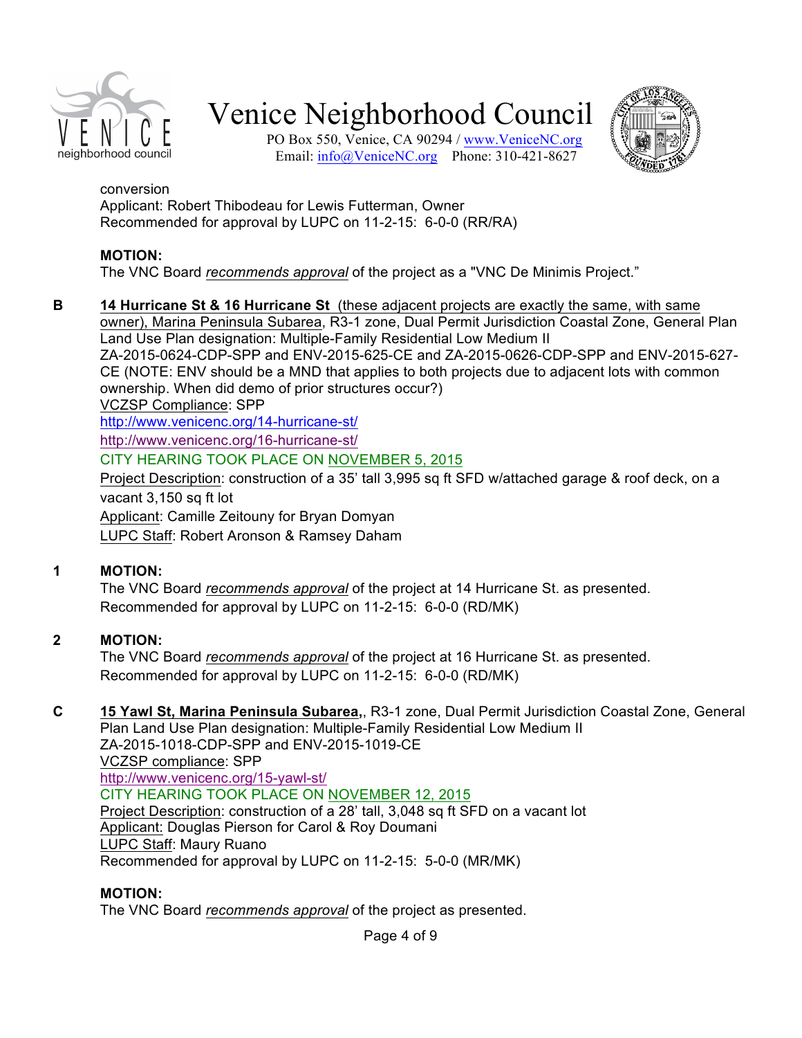

PO Box 550, Venice, CA 90294 / www.VeniceNC.org Email: info@VeniceNC.org Phone: 310-421-8627



#### conversion

Applicant: Robert Thibodeau for Lewis Futterman, Owner Recommended for approval by LUPC on 11-2-15: 6-0-0 (RR/RA)

#### **MOTION:**

The VNC Board *recommends approval* of the project as a "VNC De Minimis Project."

**B 14 Hurricane St & 16 Hurricane St** (these adjacent projects are exactly the same, with same owner), Marina Peninsula Subarea, R3-1 zone, Dual Permit Jurisdiction Coastal Zone, General Plan Land Use Plan designation: Multiple-Family Residential Low Medium II ZA-2015-0624-CDP-SPP and ENV-2015-625-CE and ZA-2015-0626-CDP-SPP and ENV-2015-627- CE (NOTE: ENV should be a MND that applies to both projects due to adjacent lots with common

ownership. When did demo of prior structures occur?)

VCZSP Compliance: SPP

http://www.venicenc.org/14-hurricane-st/

http://www.venicenc.org/16-hurricane-st/

CITY HEARING TOOK PLACE ON NOVEMBER 5, 2015

Project Description: construction of a 35' tall 3,995 sq ft SFD w/attached garage & roof deck, on a vacant 3,150 sq ft lot

Applicant: Camille Zeitouny for Bryan Domyan

LUPC Staff: Robert Aronson & Ramsey Daham

#### **1 MOTION:**

The VNC Board *recommends approval* of the project at 14 Hurricane St. as presented. Recommended for approval by LUPC on 11-2-15: 6-0-0 (RD/MK)

#### **2 MOTION:**

The VNC Board *recommends approval* of the project at 16 Hurricane St. as presented. Recommended for approval by LUPC on 11-2-15: 6-0-0 (RD/MK)

#### **C 15 Yawl St, Marina Peninsula Subarea,**, R3-1 zone, Dual Permit Jurisdiction Coastal Zone, General

Plan Land Use Plan designation: Multiple-Family Residential Low Medium II ZA-2015-1018-CDP-SPP and ENV-2015-1019-CE VCZSP compliance: SPP http://www.venicenc.org/15-yawl-st/ CITY HEARING TOOK PLACE ON NOVEMBER 12, 2015 Project Description: construction of a 28' tall, 3,048 sq ft SFD on a vacant lot Applicant: Douglas Pierson for Carol & Roy Doumani LUPC Staff: Maury Ruano Recommended for approval by LUPC on 11-2-15: 5-0-0 (MR/MK)

#### **MOTION:**

The VNC Board *recommends approval* of the project as presented.

Page 4 of 9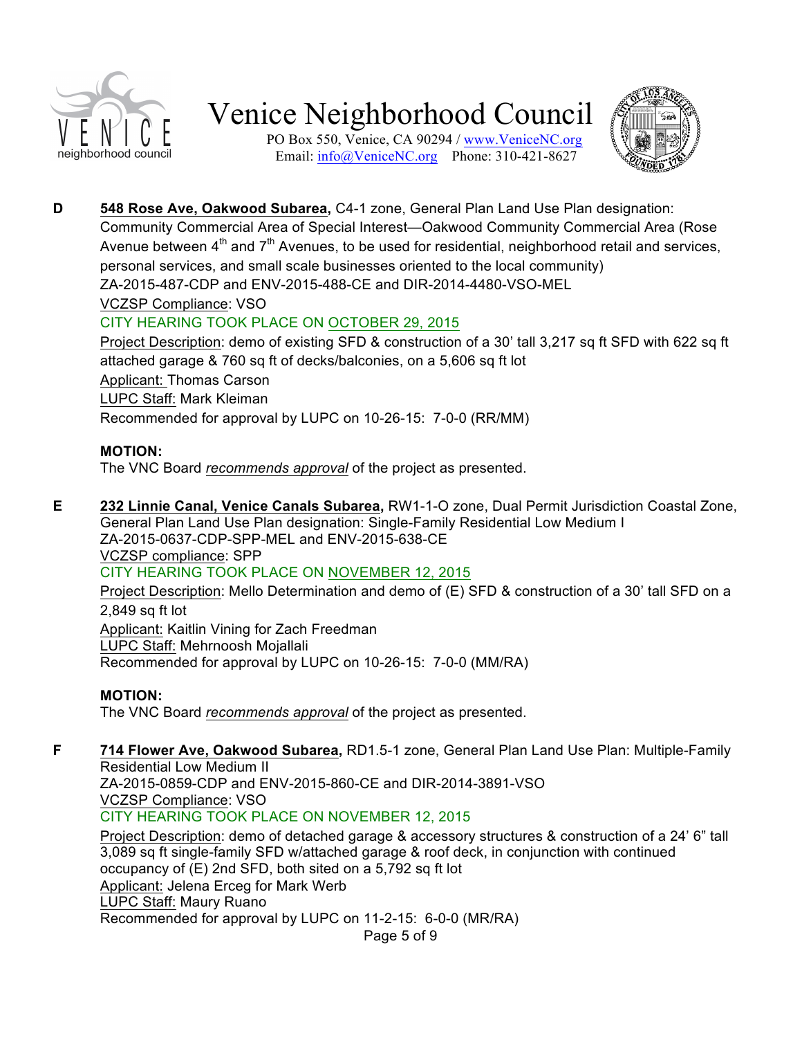

PO Box 550, Venice, CA 90294 / www.VeniceNC.org Email: info@VeniceNC.org Phone: 310-421-8627



**D 548 Rose Ave, Oakwood Subarea,** C4-1 zone, General Plan Land Use Plan designation: Community Commercial Area of Special Interest—Oakwood Community Commercial Area (Rose Avenue between  $4<sup>th</sup>$  and  $7<sup>th</sup>$  Avenues, to be used for residential, neighborhood retail and services, personal services, and small scale businesses oriented to the local community) ZA-2015-487-CDP and ENV-2015-488-CE and DIR-2014-4480-VSO-MEL VCZSP Compliance: VSO CITY HEARING TOOK PLACE ON OCTOBER 29, 2015 Project Description: demo of existing SFD & construction of a 30' tall 3,217 sq ft SFD with 622 sq ft

attached garage & 760 sq ft of decks/balconies, on a 5,606 sq ft lot Applicant: Thomas Carson LUPC Staff: Mark Kleiman Recommended for approval by LUPC on 10-26-15: 7-0-0 (RR/MM)

#### **MOTION:**

The VNC Board *recommends approval* of the project as presented.

**E 232 Linnie Canal, Venice Canals Subarea,** RW1-1-O zone, Dual Permit Jurisdiction Coastal Zone, General Plan Land Use Plan designation: Single-Family Residential Low Medium I ZA-2015-0637-CDP-SPP-MEL and ENV-2015-638-CE VCZSP compliance: SPP CITY HEARING TOOK PLACE ON NOVEMBER 12, 2015 Project Description: Mello Determination and demo of (E) SFD & construction of a 30' tall SFD on a 2,849 sq ft lot

Applicant: Kaitlin Vining for Zach Freedman LUPC Staff: Mehrnoosh Mojallali Recommended for approval by LUPC on 10-26-15: 7-0-0 (MM/RA)

#### **MOTION:**

The VNC Board *recommends approval* of the project as presented.

**F 714 Flower Ave, Oakwood Subarea,** RD1.5-1 zone, General Plan Land Use Plan: Multiple-Family Residential Low Medium II

ZA-2015-0859-CDP and ENV-2015-860-CE and DIR-2014-3891-VSO VCZSP Compliance: VSO

CITY HEARING TOOK PLACE ON NOVEMBER 12, 2015

Project Description: demo of detached garage & accessory structures & construction of a 24' 6" tall 3,089 sq ft single-family SFD w/attached garage & roof deck, in conjunction with continued occupancy of (E) 2nd SFD, both sited on a 5,792 sq ft lot Applicant: Jelena Erceg for Mark Werb LUPC Staff: Maury Ruano Recommended for approval by LUPC on 11-2-15: 6-0-0 (MR/RA)

Page 5 of 9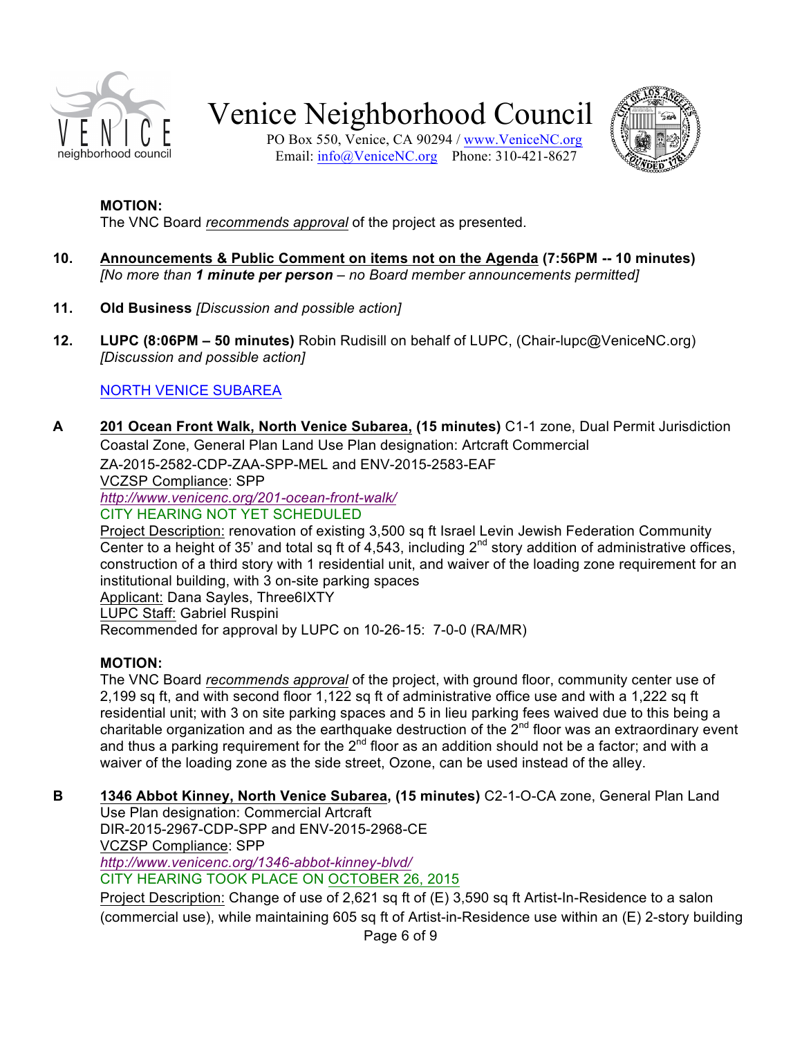

PO Box 550, Venice, CA 90294 / www.VeniceNC.org Email: info@VeniceNC.org Phone: 310-421-8627



#### **MOTION:**

The VNC Board *recommends approval* of the project as presented.

- **10. Announcements & Public Comment on items not on the Agenda (7:56PM -- 10 minutes)** *[No more than 1 minute per person – no Board member announcements permitted]*
- **11. Old Business** *[Discussion and possible action]*
- **12. LUPC (8:06PM – 50 minutes)** Robin Rudisill on behalf of LUPC, (Chair-lupc@VeniceNC.org) *[Discussion and possible action]*

#### NORTH VENICE SUBAREA

**A 201 Ocean Front Walk, North Venice Subarea, (15 minutes)** C1-1 zone, Dual Permit Jurisdiction Coastal Zone, General Plan Land Use Plan designation: Artcraft Commercial ZA-2015-2582-CDP-ZAA-SPP-MEL and ENV-2015-2583-EAF VCZSP Compliance: SPP *http://www.venicenc.org/201-ocean-front-walk/* CITY HEARING NOT YET SCHEDULED Project Description: renovation of existing 3,500 sq ft Israel Levin Jewish Federation Community Center to a height of 35' and total sq ft of 4,543, including  $2^{nd}$  story addition of administrative offices, construction of a third story with 1 residential unit, and waiver of the loading zone requirement for an institutional building, with 3 on-site parking spaces Applicant: Dana Sayles, Three6IXTY

LUPC Staff: Gabriel Ruspini

Recommended for approval by LUPC on 10-26-15: 7-0-0 (RA/MR)

#### **MOTION:**

The VNC Board *recommends approval* of the project, with ground floor, community center use of 2,199 sq ft, and with second floor 1,122 sq ft of administrative office use and with a 1,222 sq ft residential unit; with 3 on site parking spaces and 5 in lieu parking fees waived due to this being a charitable organization and as the earthquake destruction of the  $2^{nd}$  floor was an extraordinary event and thus a parking requirement for the  $2<sup>nd</sup>$  floor as an addition should not be a factor; and with a waiver of the loading zone as the side street, Ozone, can be used instead of the alley.

**B 1346 Abbot Kinney, North Venice Subarea, (15 minutes)** C2-1-O-CA zone, General Plan Land

Use Plan designation: Commercial Artcraft DIR-2015-2967-CDP-SPP and ENV-2015-2968-CE VCZSP Compliance: SPP *http://www.venicenc.org/1346-abbot-kinney-blvd/*

CITY HEARING TOOK PLACE ON OCTOBER 26, 2015

Project Description: Change of use of 2,621 sq ft of (E) 3,590 sq ft Artist-In-Residence to a salon (commercial use), while maintaining 605 sq ft of Artist-in-Residence use within an (E) 2-story building

Page 6 of 9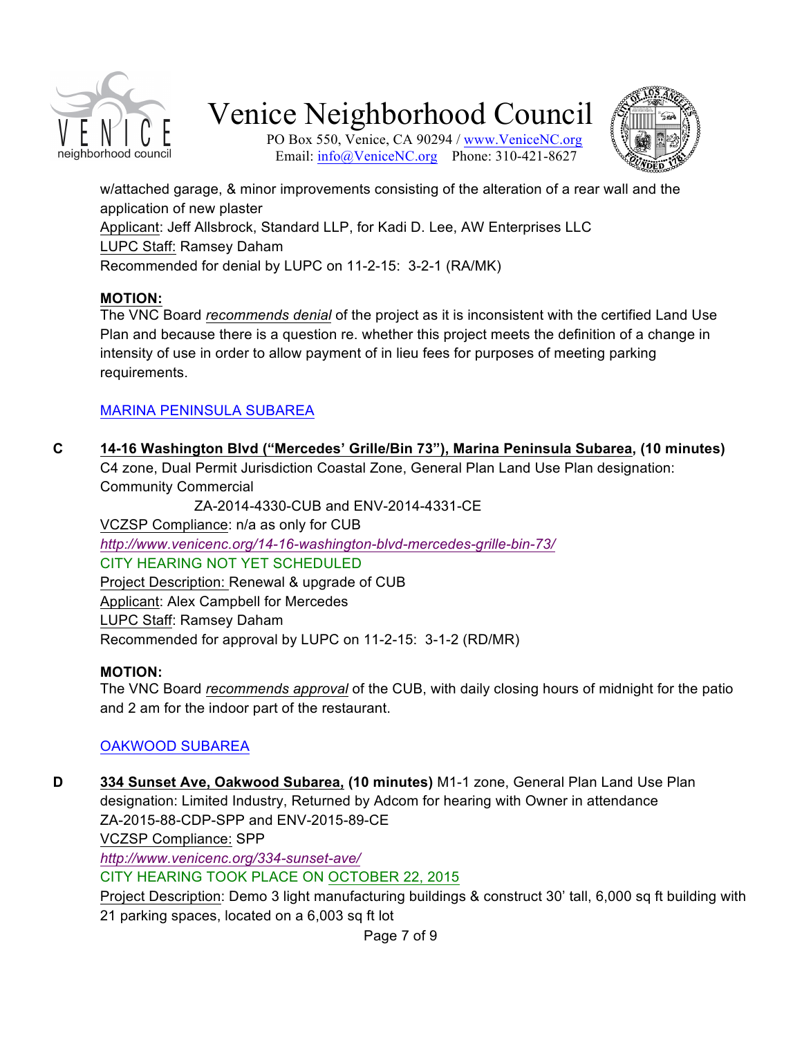

PO Box 550, Venice, CA 90294 / www.VeniceNC.org Email: info@VeniceNC.org Phone: 310-421-8627



w/attached garage, & minor improvements consisting of the alteration of a rear wall and the application of new plaster Applicant: Jeff Allsbrock, Standard LLP, for Kadi D. Lee, AW Enterprises LLC LUPC Staff: Ramsey Daham Recommended for denial by LUPC on 11-2-15: 3-2-1 (RA/MK)

#### **MOTION:**

The VNC Board *recommends denial* of the project as it is inconsistent with the certified Land Use Plan and because there is a question re. whether this project meets the definition of a change in intensity of use in order to allow payment of in lieu fees for purposes of meeting parking requirements.

#### MARINA PENINSULA SUBAREA

**C 14-16 Washington Blvd ("Mercedes' Grille/Bin 73"), Marina Peninsula Subarea, (10 minutes)**  C4 zone, Dual Permit Jurisdiction Coastal Zone, General Plan Land Use Plan designation: Community Commercial

 ZA-2014-4330-CUB and ENV-2014-4331-CE VCZSP Compliance: n/a as only for CUB *http://www.venicenc.org/14-16-washington-blvd-mercedes-grille-bin-73/* CITY HEARING NOT YET SCHEDULED Project Description: Renewal & upgrade of CUB Applicant: Alex Campbell for Mercedes LUPC Staff: Ramsey Daham Recommended for approval by LUPC on 11-2-15: 3-1-2 (RD/MR)

#### **MOTION:**

The VNC Board *recommends approval* of the CUB, with daily closing hours of midnight for the patio and 2 am for the indoor part of the restaurant.

#### OAKWOOD SUBAREA

**D 334 Sunset Ave, Oakwood Subarea, (10 minutes)** M1-1 zone, General Plan Land Use Plan designation: Limited Industry, Returned by Adcom for hearing with Owner in attendance ZA-2015-88-CDP-SPP and ENV-2015-89-CE VCZSP Compliance: SPP *http://www.venicenc.org/334-sunset-ave/* CITY HEARING TOOK PLACE ON OCTOBER 22, 2015 Project Description: Demo 3 light manufacturing buildings & construct 30' tall, 6,000 sq ft building with 21 parking spaces, located on a 6,003 sq ft lot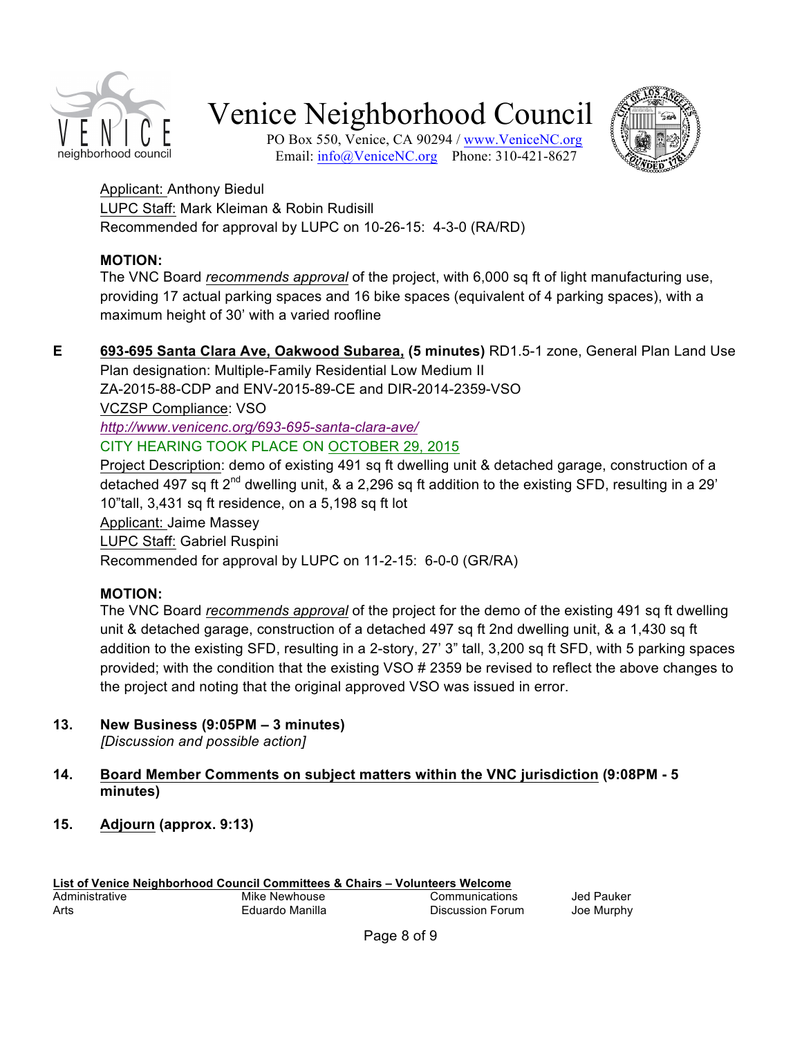

PO Box 550, Venice, CA 90294 / www.VeniceNC.org Email: info@VeniceNC.org Phone: 310-421-8627



Applicant: Anthony Biedul LUPC Staff: Mark Kleiman & Robin Rudisill Recommended for approval by LUPC on 10-26-15: 4-3-0 (RA/RD)

#### **MOTION:**

The VNC Board *recommends approval* of the project, with 6,000 sq ft of light manufacturing use, providing 17 actual parking spaces and 16 bike spaces (equivalent of 4 parking spaces), with a maximum height of 30' with a varied roofline

**E 693-695 Santa Clara Ave, Oakwood Subarea, (5 minutes)** RD1.5-1 zone, General Plan Land Use Plan designation: Multiple-Family Residential Low Medium II

ZA-2015-88-CDP and ENV-2015-89-CE and DIR-2014-2359-VSO

VCZSP Compliance: VSO

*http://www.venicenc.org/693-695-santa-clara-ave/*

CITY HEARING TOOK PLACE ON OCTOBER 29, 2015

Project Description: demo of existing 491 sq ft dwelling unit & detached garage, construction of a detached 497 sq ft  $2^{nd}$  dwelling unit, & a 2,296 sq ft addition to the existing SFD, resulting in a 29' 10"tall, 3,431 sq ft residence, on a 5,198 sq ft lot

Applicant: Jaime Massey

LUPC Staff: Gabriel Ruspini

Recommended for approval by LUPC on 11-2-15: 6-0-0 (GR/RA)

### **MOTION:**

The VNC Board *recommends approval* of the project for the demo of the existing 491 sq ft dwelling unit & detached garage, construction of a detached 497 sq ft 2nd dwelling unit, & a 1,430 sq ft addition to the existing SFD, resulting in a 2-story, 27' 3" tall, 3,200 sq ft SFD, with 5 parking spaces provided; with the condition that the existing VSO # 2359 be revised to reflect the above changes to the project and noting that the original approved VSO was issued in error.

**13. New Business (9:05PM – 3 minutes)**

*[Discussion and possible action]*

#### **14. Board Member Comments on subject matters within the VNC jurisdiction (9:08PM - 5 minutes)**

**15. Adjourn (approx. 9:13)**

| List of Venice Neighborhood Council Committees & Chairs - Volunteers Welcome |                 |                  |            |
|------------------------------------------------------------------------------|-----------------|------------------|------------|
| Administrative                                                               | Mike Newhouse   | Communications   | Jed Pauker |
| Arts                                                                         | Eduardo Manilla | Discussion Forum | Joe Murphy |